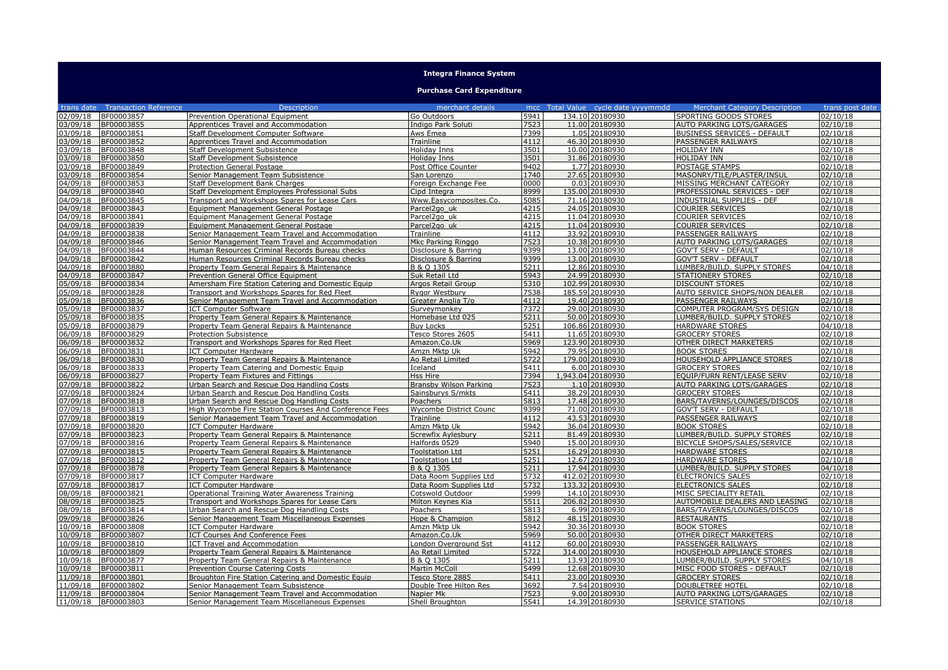## **Integra Finance System**

**Purchase Card Expenditure**

| trans date Transaction Reference     | <b>Description</b>                                                                                  | merchant details              |              | mcc Total Value cycle date yyyymmdd | <b>Merchant Category Description</b>                 | trans post date      |
|--------------------------------------|-----------------------------------------------------------------------------------------------------|-------------------------------|--------------|-------------------------------------|------------------------------------------------------|----------------------|
| 02/09/18<br>BF00003857               | Prevention Operational Equipment                                                                    | Go Outdoors                   | 5941         | 134.10 20180930                     | SPORTING GOODS STORES                                | 02/10/18             |
| 03/09/18<br>BF00003855               | Apprentices Travel and Accommodation                                                                | Indigo Park Soluti            | 7523         | 11.00 20180930                      | <b>AUTO PARKING LOTS/GARAGES</b>                     | 02/10/18             |
| 03/09/18<br>BF00003851               | Staff Development Computer Software                                                                 | Aws Emea                      | 7399         | 1.05 20180930                       | <b>BUSINESS SERVICES - DEFAULT</b>                   | 02/10/18             |
| 03/09/18<br>BF00003852               | Apprentices Travel and Accommodation                                                                | Trainline                     | 4112         | 46.30 20180930                      | PASSENGER RAILWAYS                                   | 02/10/18             |
| 03/09/18<br>BF00003848               | Staff Development Subsistence                                                                       | Holiday Inns                  | 3501         | 10.00 20180930                      | <b>HOLIDAY INN</b>                                   | 02/10/18             |
| 03/09/18<br>BF00003850               | <b>Staff Development Subsistence</b>                                                                | Holiday Inns                  | 3501         | 31.86 20180930                      | HOLIDAY INN                                          | 02/10/18             |
| 03/09/18<br>BF00003849               | <b>Protection General Postage</b>                                                                   | Post Office Counter           | 9402         | 1.77 20180930                       | POSTAGE STAMPS                                       | 02/10/18             |
| 03/09/18<br>BF00003854               | Senior Management Team Subsistence                                                                  | San Lorenzo                   | 1740         | 27.65 20180930                      | MASONRY/TILE/PLASTER/INSUL                           | 02/10/18             |
| 04/09/18<br>BF00003853               | Staff Development Bank Charges                                                                      | Foreign Exchange Fee          | 0000         | 0.03 20180930                       | MISSING MERCHANT CATEGORY                            | 02/10/18             |
| 04/09/18<br>BF00003840               | Staff Development Employees Professional Subs                                                       | Cipd Integra                  | 8999         | 135.00 20180930                     | PROFESSIONAL SERVICES - DEF                          | 02/10/18             |
| 04/09/18<br>BF00003845               | Transport and Workshops Spares for Lease Cars                                                       | Www.Easycomposites.Co.        | 5085         | 71.16 20180930                      | <b>INDUSTRIAL SUPPLIES - DEF</b>                     | 02/10/18             |
| 04/09/18<br>BF00003843               | Equipment Management General Postage                                                                | Parcel2go uk                  | 4215         | 24.05 20180930                      | <b>COURIER SERVICES</b>                              | 02/10/18             |
| 04/09/18<br>BF00003841               | Equipment Management General Postage                                                                | Parcel <sub>2aouk</sub>       | 4215         | 11.04 20180930                      | <b>COURIER SERVICES</b>                              | 02/10/18             |
| 04/09/18<br>BF00003839               | Equipment Management General Postage                                                                | Parcel2go uk                  | 4215         | 11.04 20180930                      | <b>COURIER SERVICES</b>                              | 02/10/18             |
| 04/09/18<br>BF00003838               | Senior Management Team Travel and Accommodation                                                     | Trainline                     | 4112         | 33.92 20180930                      | PASSENGER RAILWAYS                                   | 02/10/18             |
| 04/09/18<br>BF00003846               | Senior Management Team Travel and Accommodation                                                     | Mkc Parking Ringgo            | 7523         | 10.38 20180930                      | AUTO PARKING LOTS/GARAGES                            | 02/10/18             |
| 04/09/18<br>BF00003844               | Human Resources Criminal Records Bureau checks                                                      | Disclosure & Barring          | 9399         | 13.00 20180930                      | <b>GOV'T SERV - DEFAULT</b>                          | 02/10/18             |
| 04/09/18<br>BF00003842               | Human Resources Criminal Records Bureau checks                                                      | Disclosure & Barring          | 9399         | 13.00 20180930                      | <b>GOV'T SERV - DEFAULT</b>                          | 02/10/18             |
| 04/09/18<br>BF00003880               | Property Team General Repairs & Maintenance                                                         | B & O 1305                    | 5211         | 12.86 20180930                      | LUMBER/BUILD, SUPPLY STORES                          | 04/10/18             |
| 04/09/18<br>BF00003847               | Prevention General Office Equipment                                                                 | Suk Retail Ltd                | 5943         | 24.99 20180930                      | <b>STATIONERY STORES</b>                             | 02/10/18             |
| 05/09/18<br>BF00003834               | Amersham Fire Station Catering and Domestic Equip                                                   | Argos Retail Group            | 5310         | 102.99 20180930                     | <b>DISCOUNT STORES</b>                               | 02/10/18             |
| 05/09/18<br>BF00003828               | Transport and Workshops Spares for Red Fleet                                                        | Rygor Westbury                | 7538         | 185.59 20180930                     | AUTO SERVICE SHOPS/NON DEALER                        | 02/10/18             |
| 05/09/18<br>BF00003836               | Senior Management Team Travel and Accommodation                                                     | Greater Anglia T/o            | 4112         | 19.40 20180930                      | PASSENGER RAILWAYS                                   | 02/10/18             |
| 05/09/18<br>BF00003837               | <b>ICT Computer Software</b>                                                                        | Surveymonkey                  | 7372         | 29.00 20180930                      | COMPUTER PROGRAM/SYS DESIGN                          | 02/10/18             |
| 05/09/18<br>BF00003835               | Property Team General Repairs & Maintenance                                                         | Homebase Ltd 025              | 5211         | 50.00 20180930                      | LUMBER/BUILD. SUPPLY STORES                          | 02/10/18             |
| 05/09/18<br>BF00003879               | Property Team General Repairs & Maintenance                                                         | <b>Buv Locks</b>              | 5251         | 106.86 20180930                     | <b>HARDWARE STORES</b>                               | 04/10/18             |
| 06/09/18<br>BF00003829               | <b>Protection Subsistence</b>                                                                       | Tesco Stores 2605             | 5411         | 11.65 20180930                      | <b>GROCERY STORES</b>                                | 02/10/18             |
| 06/09/18<br>BF00003832               | Transport and Workshops Spares for Red Fleet                                                        | Amazon.Co.Uk                  | 5969         | 123.90 20180930                     | <b>OTHER DIRECT MARKETERS</b>                        | 02/10/18             |
| 06/09/18<br>BF00003831               | <b>ICT Computer Hardware</b>                                                                        | Amzn Mktp Uk                  | 5942         | 79.95 20180930                      | <b>BOOK STORES</b>                                   | 02/10/18             |
| 06/09/18<br>BF00003830               | Property Team General Repairs & Maintenance                                                         | Ao Retail Limited             | 5722         | 179.00 20180930                     | HOUSEHOLD APPLIANCE STORES                           | 02/10/18             |
| 06/09/18<br>BF00003833               | Property Team Catering and Domestic Equip                                                           | Iceland                       | 5411         | 6.00 20180930                       | <b>GROCERY STORES</b>                                | 02/10/18             |
| 06/09/18<br>BF00003827               | Property Team Fixtures and Fittings                                                                 | Hss Hire                      | 7394         | 1.943.04 20180930                   | EQUIP/FURN RENT/LEASE SERV                           | 02/10/18             |
| 07/09/18<br>BF00003822<br>07/09/18   | Urban Search and Rescue Dog Handling Costs                                                          | <b>Bransby Wilson Parking</b> | 7523<br>5411 | 1.10 20180930                       | AUTO PARKING LOTS/GARAGES                            | 02/10/18<br>02/10/18 |
| BF00003824<br>07/09/18<br>BF00003818 | Urban Search and Rescue Dog Handling Costs                                                          | Sainsburys S/mkts<br>Poachers | 5813         | 38.29 20180930<br>17.48 20180930    | <b>GROCERY STORES</b><br>BARS/TAVERNS/LOUNGES/DISCOS | 02/10/18             |
| 07/09/18<br>BF00003813               | Urban Search and Rescue Dog Handling Costs<br>High Wycombe Fire Station Courses And Conference Fees | <b>Wycombe District Counc</b> | 9399         | 71.00 20180930                      | <b>GOV'T SERV - DEFAULT</b>                          | 02/10/18             |
| 07/09/18<br>BF00003819               | Senior Management Team Travel and Accommodation                                                     | Trainline                     | 4112         | 43.53 20180930                      | PASSENGER RAILWAYS                                   | 02/10/18             |
| 07/09/18<br>BF00003820               | <b>ICT Computer Hardware</b>                                                                        | Amzn Mktp Uk                  | 5942         | 36.04 20180930                      | <b>BOOK STORES</b>                                   | 02/10/18             |
| 07/09/18<br>BF00003823               | Property Team General Repairs & Maintenance                                                         | Screwfix Aylesbury            | 5211         | 81.49 20180930                      | LUMBER/BUILD. SUPPLY STORES                          | 02/10/18             |
| 07/09/18<br>BF00003816               | Property Team General Repairs & Maintenance                                                         | Halfords 0529                 | 5940         | 15.00 20180930                      | BICYCLE SHOPS/SALES/SERVICE                          | 02/10/18             |
| 07/09/18<br>BF00003815               | Property Team General Repairs & Maintenance                                                         | <b>Toolstation Ltd</b>        | 5251         | 16.29 20180930                      | <b>HARDWARE STORES</b>                               | 02/10/18             |
| 07/09/18<br>BF00003812               | Property Team General Repairs & Maintenance                                                         | <b>Toolstation Ltd</b>        | 5251         | 12.67 20180930                      | <b>HARDWARE STORES</b>                               | 02/10/18             |
| 07/09/18<br>BF00003878               | Property Team General Repairs & Maintenance                                                         | B & O 1305                    | 5211         | 17.94 20180930                      | LUMBER/BUILD. SUPPLY STORES                          | 04/10/18             |
| 07/09/18<br>BF00003817               | <b>ICT Computer Hardware</b>                                                                        | Data Room Supplies Ltd        | 5732         | 412.02 20180930                     | <b>ELECTRONICS SALES</b>                             | 02/10/18             |
| 07/09/18<br>BF00003817               | <b>ICT Computer Hardware</b>                                                                        | Data Room Supplies Ltd        | 5732         | 133.32 20180930                     | <b>ELECTRONICS SALES</b>                             | 02/10/18             |
| 08/09/18<br>BF00003821               | Operational Training Water Awareness Training                                                       | Cotswold Outdoor              | 5999         | 14.10 20180930                      | MISC SPECIALITY RETAIL                               | 02/10/18             |
| 08/09/18<br>BF00003825               | Transport and Workshops Spares for Lease Cars                                                       | Milton Keynes Kia             | 5511         | 206.82 20180930                     | AUTOMOBILE DEALERS AND LEASING                       | 02/10/18             |
| 08/09/18<br>BF00003814               | Urban Search and Rescue Dog Handling Costs                                                          | Poachers                      | 5813         | 6.99 20180930                       | BARS/TAVERNS/LOUNGES/DISCOS                          | 02/10/18             |
| 09/09/18<br>BF00003826               | Senior Management Team Miscellaneous Expenses                                                       | Hope & Champion               | 5812         | 48.15 20180930                      | <b>RESTAURANTS</b>                                   | 02/10/18             |
| 10/09/18<br>BF00003808               | ICT Computer Hardware                                                                               | Amzn Mktp Uk                  | 5942         | 30.36 20180930                      | <b>BOOK STORES</b>                                   | 02/10/18             |
| 10/09/18<br>BF00003807               | <b>ICT Courses And Conference Fees</b>                                                              | Amazon.Co.Uk                  | 5969         | 50.00 20180930                      | OTHER DIRECT MARKETERS                               | 02/10/18             |
| 10/09/18<br>BF00003810               | ICT Travel and Accommodation                                                                        | London Overground Sst         | 4112         | 60.00 20180930                      | PASSENGER RAILWAYS                                   | 02/10/18             |
| 10/09/18<br>BF00003809               | Property Team General Repairs & Maintenance                                                         | Ao Retail Limited             | 5722         | 314.00 20180930                     | <b>HOUSEHOLD APPLIANCE STORES</b>                    | 02/10/18             |
| 10/09/18<br>BF00003877               | Property Team General Repairs & Maintenance                                                         | B & Q 1305                    | 5211         | 13.93 20180930                      | LUMBER/BUILD. SUPPLY STORES                          | 04/10/18             |
| 10/09/18<br>BF00003811               | <b>Prevention Course Catering Costs</b>                                                             | <b>Martin McColl</b>          | 5499         | 12.68 20180930                      | MISC FOOD STORES - DEFAULT                           | 02/10/18             |
| 11/09/18<br>BF00003801               | Broughton Fire Station Catering and Domestic Equip                                                  | Tesco Store 2885              | 5411         | 23.00 20180930                      | <b>GROCERY STORES</b>                                | 02/10/18             |
| BF00003802<br>11/09/18               | Senior Management Team Subsistence                                                                  | Double Tree Hilton Res        | 3692         | 7.54 20180930                       | DOUBLETREE HOTEL                                     | 02/10/18             |
| 11/09/18 BF00003804                  | Senior Management Team Travel and Accommodation                                                     | Napier Mk                     | 7523         | 9.00 20180930                       | <b>AUTO PARKING LOTS/GARAGES</b>                     | 02/10/18             |
| 11/09/18 BF00003803                  | Senior Management Team Miscellaneous Expenses                                                       | Shell Broughton               | 5541         | 14.39 20180930                      | <b>SERVICE STATIONS</b>                              | 02/10/18             |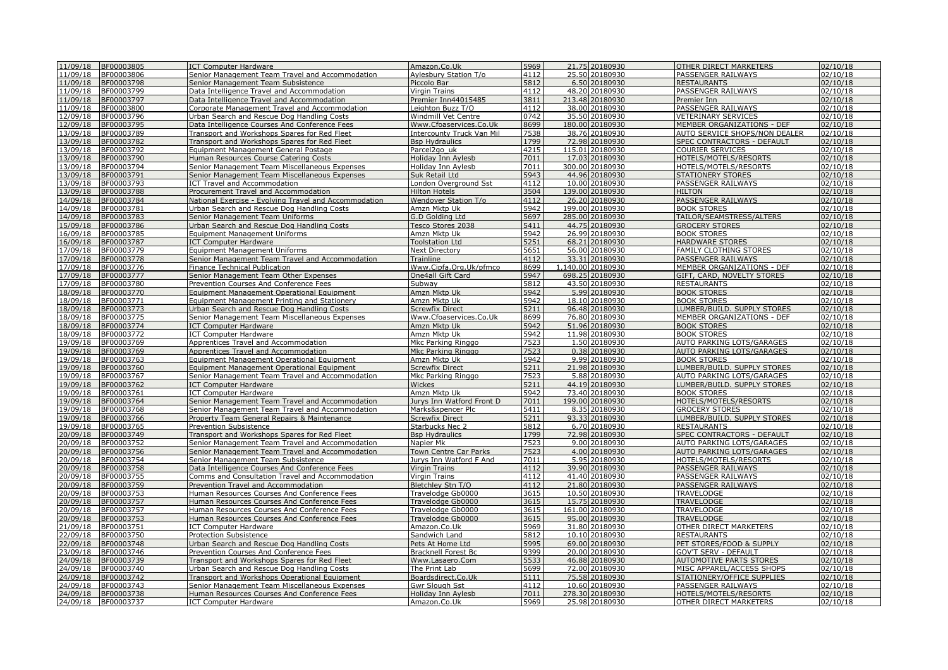| 11/09/18             | BF00003805               | <b>ICT Computer Hardware</b>                                                  | Amazon.Co.Uk                           | 5969         | 21.75 20180930                   | OTHER DIRECT MARKETERS                            | 02/10/18             |
|----------------------|--------------------------|-------------------------------------------------------------------------------|----------------------------------------|--------------|----------------------------------|---------------------------------------------------|----------------------|
| 11/09/18             | BF00003806               | Senior Management Team Travel and Accommodation                               | Aylesbury Station T/o                  | 4112         | 25.50 20180930                   | PASSENGER RAILWAYS                                | 02/10/18             |
| 11/09/18             | BF00003798               | Senior Management Team Subsistence                                            | Piccolo Bar                            | 5812         | 6.50 20180930                    | <b>RESTAURANTS</b>                                | 02/10/18             |
| 11/09/18             | BF00003799               | Data Intelligence Travel and Accommodation                                    | <b>Virgin Trains</b>                   | 4112         | 48.20 20180930                   | PASSENGER RAILWAYS                                | 02/10/18             |
| 11/09/18             | BF00003797               | Data Intelligence Travel and Accommodation                                    | Premier Inn44015485                    | 3811         | 213.48 20180930                  | Premier Inn                                       | 02/10/18             |
| 11/09/18             | BF00003800               | Corporate Management Travel and Accommodation                                 | Leighton Buzz T/O                      | 4112         | 38.00 20180930                   | PASSENGER RAILWAYS                                | 02/10/18             |
| 12/09/18             | BF00003796               | Urban Search and Rescue Dog Handling Costs                                    | <b>Windmill Vet Centre</b>             | 0742         | 35.50 20180930                   | <b>VETERINARY SERVICES</b>                        | 02/10/18             |
| 12/09/18             | BF00003795               | Data Intelligence Courses And Conference Fees                                 | Www.Cfoaservices.Co.Uk                 | 8699         | 180.00 20180930                  | MEMBER ORGANIZATIONS - DEF                        | 02/10/18             |
| 13/09/18             | BF00003789               | Transport and Workshops Spares for Red Fleet                                  | <b>Intercounty Truck Van Mil</b>       | 7538         | 38.76 20180930                   | AUTO SERVICE SHOPS/NON DEALER                     | 02/10/18             |
| 13/09/18             | BF00003782               | Transport and Workshops Spares for Red Fleet                                  | <b>Bsp Hydraulics</b>                  | 1799         | 72.98 20180930                   | SPEC CONTRACTORS - DEFAULT                        | 02/10/18             |
| 13/09/18             | BF00003792               | Equipment Management General Postage                                          | Parcel <sub>2gouk</sub>                | 4215         | 115.01 20180930                  | COURIER SERVICES                                  | 02/10/18             |
| 13/09/18             | BF00003790               | Human Resources Course Catering Costs                                         | <b>Holiday Inn Aylesb</b>              | 7011         | 17.03 20180930                   | HOTELS/MOTELS/RESORTS                             | 02/10/18             |
| 13/09/18             | BF00003794               | Senior Management Team Miscellaneous Expenses                                 | Holiday Inn Aylesb                     | 7011         | 300.00 20180930                  | HOTELS/MOTELS/RESORTS                             | 02/10/18             |
| 13/09/18             | BF00003791               | Senior Management Team Miscellaneous Expenses                                 | Suk Retail Ltd                         | 5943         | 44.96 20180930                   | STATIONERY STORES                                 | 02/10/18             |
| 13/09/18             | BF00003793               | ICT Travel and Accommodation                                                  | London Overground Sst                  | 4112         | 10.00 20180930                   | PASSENGER RAILWAYS                                | 02/10/18             |
| 13/09/18             | BF00003788               | Procurement Travel and Accommodation                                          | <b>Hilton Hotels</b>                   | 3504         | 139.00 20180930                  | <b>HILTON</b>                                     | 02/10/18             |
| 14/09/18             | BF00003784               | National Exercise - Evolving Travel and Accommodation                         | Wendover Station T/o                   | 4112         | 26.20 20180930                   | PASSENGER RAILWAYS                                | 02/10/18             |
| 14/09/18             | BF00003781               | Urban Search and Rescue Dog Handling Costs                                    | Amzn Mktp Uk                           | 5942         | 199.00 20180930                  | <b>BOOK STORES</b>                                | 02/10/18             |
| 14/09/18             | BF00003783               | Senior Management Team Uniforms                                               | G.D Golding Ltd                        | 5697         | 285.00 20180930                  | TAILOR/SEAMSTRESS/ALTERS                          | 02/10/18             |
| 15/09/18             | BF00003786               | Urban Search and Rescue Dog Handling Costs                                    | Tesco Stores 2038                      | 5411         | 44.75 20180930                   | <b>GROCERY STORES</b>                             | 02/10/18             |
| 16/09/18             | BF00003785               | Equipment Management Uniforms                                                 | Amzn Mktp Uk                           | 5942         | 26.99 20180930                   | <b>BOOK STORES</b>                                | 02/10/18             |
| 16/09/18             | BF00003787               | <b>ICT Computer Hardware</b>                                                  | <b>Toolstation Ltd</b>                 | 5251         | 68.21 20180930                   | HARDWARE STORES                                   | 02/10/18             |
| 17/09/18             | BF00003779               | Equipment Management Uniforms                                                 | <b>Next Directory</b>                  | 5651         | 56.00 20180930                   | FAMILY CLOTHING STORES                            | 02/10/18             |
| 17/09/18             | BF00003778               | Senior Management Team Travel and Accommodation                               | Trainline                              | 4112         | 33.31 20180930                   | PASSENGER RAILWAYS                                | 02/10/18             |
| 17/09/18             | BF00003776               | Finance Technical Publication                                                 | Www.Cipfa.Org.Uk/pfmco                 | 8699         | 140.00 20180930                  | MEMBER ORGANIZATIONS - DEF                        | 02/10/18             |
| 17/09/18             | BF00003777               | Senior Management Team Other Expenses                                         | One4all Gift Card                      | 5947         | 698.25 20180930                  | GIFT, CARD, NOVELTY STORES                        | 02/10/18             |
| 17/09/18             | BF00003780               | Prevention Courses And Conference Fees                                        | Subway                                 | 5812         | 43.50 20180930                   | <b>RESTAURANTS</b>                                | 02/10/18             |
| 18/09/18             | BF00003770               | Equipment Management Operational Equipment                                    | Amzn Mktp Uk                           | 5942<br>5942 | 5.99 20180930                    | <b>BOOK STORES</b>                                | 02/10/18             |
| 18/09/18<br>18/09/18 | BF00003771               | Equipment Management Printing and Stationery                                  | Amzn Mktp Uk<br><b>Screwfix Direct</b> | 5211         | 18.10 20180930<br>96.48 20180930 | <b>BOOK STORES</b><br>LUMBER/BUILD. SUPPLY STORES | 02/10/18<br>02/10/18 |
| 18/09/18             | BF00003773<br>BF00003775 | Urban Search and Rescue Dog Handling Costs                                    | Www.Cfoaservices.Co.Uk                 | 8699         |                                  | MEMBER ORGANIZATIONS - DEF                        | 02/10/18             |
| 18/09/18             | BF00003774               | Senior Management Team Miscellaneous Expenses<br><b>ICT Computer Hardware</b> | Amzn Mktp Uk                           | 5942         | 76.80 20180930<br>51.96 20180930 | <b>BOOK STORES</b>                                | 02/10/18             |
| 18/09/18             | BF00003772               |                                                                               | Amzn Mktp Uk                           | 5942         | 11.98 20180930                   | <b>BOOK STORES</b>                                | 02/10/18             |
| 19/09/18             | BF00003769               | <b>ICT Computer Hardware</b><br>Apprentices Travel and Accommodation          | Mkc Parking Ringgo                     | 7523         | 1.50 20180930                    | AUTO PARKING LOTS/GARAGES                         | 02/10/18             |
| 19/09/18             | BF00003769               | Apprentices Travel and Accommodation                                          | Mkc Parking Ringgo                     | 7523         | 0.38 20180930                    | AUTO PARKING LOTS/GARAGES                         | 02/10/18             |
| 19/09/18             | BF00003763               | Equipment Management Operational Equipment                                    | Amzn Mktp Uk                           | 5942         | 9.99 20180930                    | <b>BOOK STORES</b>                                | 02/10/18             |
| 19/09/18             | BF00003760               | Equipment Management Operational Equipment                                    | <b>Screwfix Direct</b>                 | 5211         | 21.98 20180930                   | LUMBER/BUILD. SUPPLY STORES                       | 02/10/18             |
| 19/09/18             | BF00003767               | Senior Management Team Travel and Accommodation                               | Mkc Parking Ringgo                     | 7523         | 5.88 20180930                    | AUTO PARKING LOTS/GARAGES                         | 02/10/18             |
| 19/09/18             | BF00003762               | <b>ICT Computer Hardware</b>                                                  | Wickes                                 | 5211         | 44.19 20180930                   | LUMBER/BUILD. SUPPLY STORES                       | 02/10/18             |
| 19/09/18             | BF00003761               | <b>ICT Computer Hardware</b>                                                  | Amzn Mktp Uk                           | 5942         | 73.40 20180930                   | <b>BOOK STORES</b>                                | 02/10/18             |
| 19/09/18             | BF00003764               | Senior Management Team Travel and Accommodation                               | Jurys Inn Watford Front D              | 7011         | 199.00 20180930                  | HOTELS/MOTELS/RESORTS                             | 02/10/18             |
| 19/09/18             | BF00003768               | Senior Management Team Travel and Accommodation                               | Marks&spencer Plc                      | 5411         | 8.35 20180930                    | <b>GROCERY STORES</b>                             | 02/10/18             |
| 19/09/18             | BF00003766               | Property Team General Repairs & Maintenance                                   | <b>Screwfix Direct</b>                 | 5211         | 93.33 20180930                   | LUMBER/BUILD. SUPPLY STORES                       | 02/10/18             |
| 19/09/18             | BF00003765               | Prevention Subsistence                                                        | Starbucks Nec 2                        | 5812         | 6.70 20180930                    | RESTAURANTS                                       | 02/10/18             |
| 20/09/18             | BF00003749               | Transport and Workshops Spares for Red Fleet                                  | <b>Bsp Hydraulics</b>                  | 1799         | 72.98 20180930                   | SPEC CONTRACTORS - DEFAULT                        | 02/10/18             |
| 20/09/18             | BF00003752               | Senior Management Team Travel and Accommodation                               | Napier Mk                              | 7523         | 9.00 20180930                    | AUTO PARKING LOTS/GARAGES                         | 02/10/18             |
| 20/09/18             | BF00003756               | Senior Management Team Travel and Accommodation                               | Town Centre Car Parks                  | 7523         | 4.00 20180930                    | AUTO PARKING LOTS/GARAGES                         | 02/10/18             |
| 20/09/18             | BF00003754               | Senior Management Team Subsistence                                            | Jurys Inn Watford F And                | 7011         | 5.95 20180930                    | HOTELS/MOTELS/RESORTS                             | 02/10/18             |
| 20/09/18             | BF00003758               | Data Intelligence Courses And Conference Fees                                 | <b>Virgin Trains</b>                   | 4112         | 39.90 20180930                   | PASSENGER RAILWAYS                                | 02/10/18             |
| 20/09/18             | BF00003755               | Comms and Consultation Travel and Accommodation                               | <b>Virgin Trains</b>                   | 4112         | 41.40 20180930                   | PASSENGER RAILWAYS                                | 02/10/18             |
| 20/09/18             | BF00003759               | Prevention Travel and Accommodation                                           | Bletchley Stn T/O                      | 4112         | 21.80 20180930                   | PASSENGER RAILWAYS                                | 02/10/18             |
| 20/09/18             | BF00003753               | Human Resources Courses And Conference Fees                                   | Travelodge Gb0000                      | 3615         | 10.50 20180930                   | TRAVELODGE                                        | 02/10/18             |
| 20/09/18             | BF00003757               | Human Resources Courses And Conference Fees                                   | Travelodge Gb0000                      | 3615         | 15.75 20180930                   | TRAVELODGE                                        | 02/10/18             |
| 20/09/18             | BF00003757               | Human Resources Courses And Conference Fees                                   | Travelodge Gb0000                      | 3615         | 161.00 20180930                  | TRAVELODGE                                        | 02/10/18             |
| 20/09/18             | BF00003753               | Human Resources Courses And Conference Fees                                   | Travelodge Gb0000                      | 3615         | 95.00 20180930                   | <b>TRAVELODGE</b>                                 | 02/10/18             |
| 21/09/18             | BF00003751               | <b>ICT Computer Hardware</b>                                                  | Amazon.Co.Uk                           | 5969         | 31.80 20180930                   | OTHER DIRECT MARKETERS                            | 02/10/18             |
| 22/09/18             | BF00003750               | <b>Protection Subsistence</b>                                                 | Sandwich Land                          | 5812         | 10.10 20180930                   | <b>RESTAURANTS</b>                                | 02/10/18             |
| 22/09/18             | BF00003748               | Urban Search and Rescue Dog Handling Costs                                    | Pets At Home Ltd                       | 5995         | 69.00 20180930                   | PET STORES/FOOD & SUPPLY                          | 02/10/18             |
| 23/09/18             | BF00003746               | Prevention Courses And Conference Fees                                        | <b>Bracknell Forest Bc</b>             | 9399         | 20.00 20180930                   | <b>GOV'T SERV - DEFAULT</b>                       | 02/10/18             |
| 24/09/18             | BF00003739               | Transport and Workshops Spares for Red Fleet                                  | Www.Lasaero.Com                        | 5533         | 46.88 20180930                   | AUTOMOTIVE PARTS STORES                           | 02/10/18             |
| 24/09/18             | BF00003740               | Urban Search and Rescue Dog Handling Costs                                    | The Print Lab                          | 5699         | 72.00 20180930                   | MISC APPAREL/ACCESS SHOPS                         | 02/10/18             |
| 24/09/18             | BF00003742               | Transport and Workshops Operational Equipment                                 | Boardsdirect.Co.Uk                     | 5111         | 75.58 20180930                   | STATIONERY/OFFICE SUPPLIES                        | 02/10/18             |
| 24/09/18             | BF00003743               | Senior Management Team Miscellaneous Expenses                                 | Gwr Slough Sst                         | 4112         | 10.60 20180930                   | PASSENGER RAILWAYS                                | 02/10/18             |
| 24/09/18             | BF00003738               | Human Resources Courses And Conference Fees                                   | Holiday Inn Aylesb                     | 7011         | 278.30 20180930                  | HOTELS/MOTELS/RESORTS                             | 02/10/18             |
| 24/09/18             | BF00003737               | <b>ICT Computer Hardware</b>                                                  | Amazon.Co.Uk                           | 5969         | 25.98 20180930                   | OTHER DIRECT MARKETERS                            | 02/10/18             |